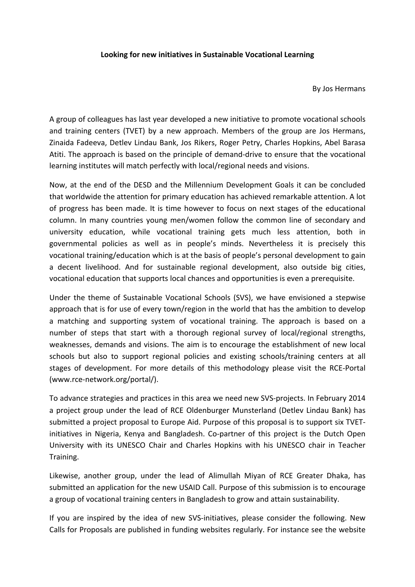## **Looking for new initiatives in Sustainable Vocational Learning**

By Jos Hermans

A group of colleagues has last year developed a new initiative to promote vocational schools and training centers (TVET) by a new approach. Members of the group are Jos Hermans, Zinaida Fadeeva, Detlev Lindau Bank, Jos Rikers, Roger Petry, Charles Hopkins, Abel Barasa Atiti. The approach is based on the principle of demand-drive to ensure that the vocational learning institutes will match perfectly with local/regional needs and visions.

Now, at the end of the DESD and the Millennium Development Goals it can be concluded that worldwide the attention for primary education has achieved remarkable attention. A lot of progress has been made. It is time however to focus on next stages of the educational column. In many countries young men/women follow the common line of secondary and university education, while vocational training gets much less attention, both in governmental policies as well as in people's minds. Nevertheless it is precisely this vocational training/education which is at the basis of people's personal development to gain a decent livelihood. And for sustainable regional development, also outside big cities, vocational education that supports local chances and opportunities is even a prerequisite.

Under the theme of Sustainable Vocational Schools (SVS), we have envisioned a stepwise approach that is for use of every town/region in the world that has the ambition to develop a matching and supporting system of vocational training. The approach is based on a number of steps that start with a thorough regional survey of local/regional strengths, weaknesses, demands and visions. The aim is to encourage the establishment of new local schools but also to support regional policies and existing schools/training centers at all stages of development. For more details of this methodology please visit the RCE-Portal (www.rce-network.org/portal/).

To advance strategies and practices in this area we need new SVS-projects. In February 2014 a project group under the lead of RCE Oldenburger Munsterland (Detlev Lindau Bank) has submitted a project proposal to Europe Aid. Purpose of this proposal is to support six TVETinitiatives in Nigeria, Kenya and Bangladesh. Co-partner of this project is the Dutch Open University with its UNESCO Chair and Charles Hopkins with his UNESCO chair in Teacher Training.

Likewise, another group, under the lead of Alimullah Miyan of RCE Greater Dhaka, has submitted an application for the new USAID Call. Purpose of this submission is to encourage a group of vocational training centers in Bangladesh to grow and attain sustainability.

If you are inspired by the idea of new SVS-initiatives, please consider the following. New Calls for Proposals are published in funding websites regularly. For instance see the website